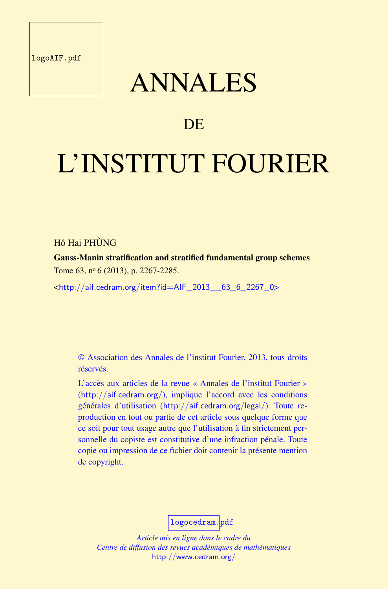logoAIF.pdf

## ANNALES

### **DE**

# L'INSTITUT FOURIER

#### Hô Hai PHÙNG

Gauss-Manin stratification and stratified fundamental group schemes Tome 63, nº 6 (2013), p. 2267-2285.

<http://aif.cedram.org/item?id=AIF\_2013\_\_63\_6\_2267\_0>

© Association des Annales de l'institut Fourier, 2013, tous droits réservés.

L'accès aux articles de la revue « Annales de l'institut Fourier » (http://aif.cedram.org/), implique l'accord avec les conditions générales d'utilisation (http://aif.cedram.org/legal/). Toute reproduction en tout ou partie de cet article sous quelque forme que ce soit pour tout usage autre que l'utilisation à fin strictement personnelle du copiste est constitutive d'une infraction pénale. Toute copie ou impression de ce fichier doit contenir la présente mention de copyright.

logocedram.pdf

*Article mis en ligne dans le cadre du Centre de diffusion des revues académiques de mathématiques* http://www.cedram.org/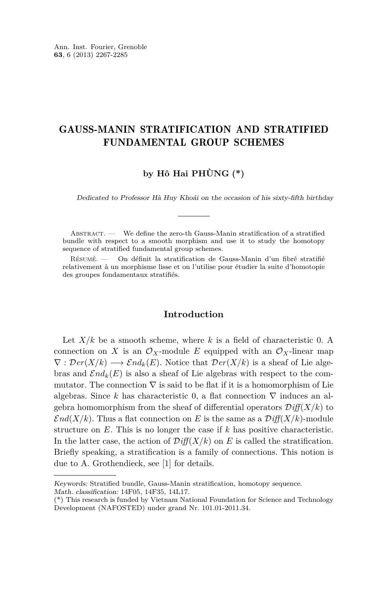#### GAUSS-MANIN STRATIFICATION AND STRATIFIED FUNDAMENTAL GROUP SCHEMES

#### **by Hô Hai PHÙNG (\*)**

Dedicated to Professor Hà Huy Khoái on the occasion of his sixty-fifth birthday

ABSTRACT. — We define the zero-th Gauss-Manin stratification of a stratified bundle with respect to a smooth morphism and use it to study the homotopy sequence of stratified fundamental group schemes.

Résumé. — On définit la stratification de Gauss-Manin d'un fibré stratifié relativement à un morphisme lisse et on l'utilise pour étudier la suite d'homotopie des groupes fondamentaux stratifiés.

#### **Introduction**

Let  $X/k$  be a smooth scheme, where  $k$  is a field of characteristic 0. A connection on *X* is an  $\mathcal{O}_X$ -module *E* equipped with an  $\mathcal{O}_X$ -linear map  $\nabla : \mathcal{D}er(X/k) \longrightarrow \mathcal{E}nd_k(E)$ . Notice that  $\mathcal{D}er(X/k)$  is a sheaf of Lie algebras and  $\mathcal{E}nd_k(E)$  is also a sheaf of Lie algebras with respect to the commutator. The connection  $\nabla$  is said to be flat if it is a homomorphism of Lie algebras. Since *k* has characteristic 0, a flat connection  $\nabla$  induces an algebra homomorphism from the sheaf of differential operators  $\mathcal{D}iff(X/k)$  to  $\mathcal{E}nd(X/k)$ . Thus a flat connection on *E* is the same as a  $\mathcal{D}iff(X/k)$ -module structure on *E*. This is no longer the case if *k* has positive characteristic. In the latter case, the action of  $Diff(X/k)$  on *E* is called the stratification. Briefly speaking, a stratification is a family of connections. This notion is due to A. Grothendieck, see [1] for details.

Keywords: Stratified bundle, Gauss-Manin stratification, homotopy sequence. Math. classification: 14F05, 14F35, 14L17.

<sup>(\*)</sup> This research is funded by Vietnam National Foundation for Science and Technology Development (NAFOSTED) under grand Nr. 101.01-2011.34.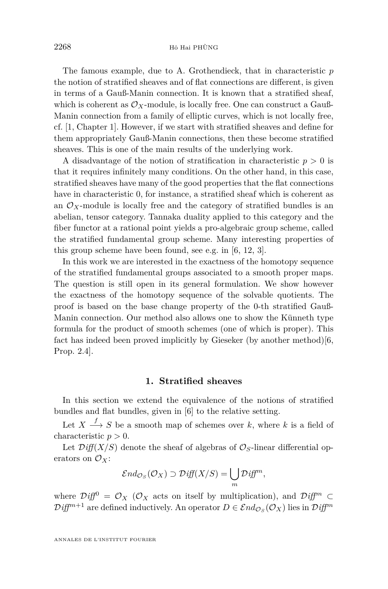The famous example, due to A. Grothendieck, that in characteristic *p* the notion of stratified sheaves and of flat connections are different, is given in terms of a Gauß-Manin connection. It is known that a stratified sheaf, which is coherent as  $\mathcal{O}_X$ -module, is locally free. One can construct a Gauß-Manin connection from a family of elliptic curves, which is not locally free, cf. [1, Chapter 1]. However, if we start with stratified sheaves and define for them appropriately Gauß-Manin connections, then these become stratified sheaves. This is one of the main results of the underlying work.

A disadvantage of the notion of stratification in characteristic  $p > 0$  is that it requires infinitely many conditions. On the other hand, in this case, stratified sheaves have many of the good properties that the flat connections have in characteristic 0, for instance, a stratified sheaf which is coherent as an  $\mathcal{O}_X$ -module is locally free and the category of stratified bundles is an abelian, tensor category. Tannaka duality applied to this category and the fiber functor at a rational point yields a pro-algebraic group scheme, called the stratified fundamental group scheme. Many interesting properties of this group scheme have been found, see e.g. in [6, 12, 3].

In this work we are interested in the exactness of the homotopy sequence of the stratified fundamental groups associated to a smooth proper maps. The question is still open in its general formulation. We show however the exactness of the homotopy sequence of the solvable quotients. The proof is based on the base change property of the 0-th stratified Gauß-Manin connection. Our method also allows one to show the Künneth type formula for the product of smooth schemes (one of which is proper). This fact has indeed been proved implicitly by Gieseker (by another method)[6, Prop. 2.4].

#### **1. Stratified sheaves**

In this section we extend the equivalence of the notions of stratified bundles and flat bundles, given in [6] to the relative setting.

Let  $X \stackrel{f}{\longrightarrow} S$  be a smooth map of schemes over *k*, where *k* is a field of characteristic  $p > 0$ .

Let  $\mathcal{D} \text{iff}(X/S)$  denote the sheaf of algebras of  $\mathcal{O}_S$ -linear differential operators on  $\mathcal{O}_X$ :

$$
\mathcal{E}nd_{\mathcal{O}_S}(\mathcal{O}_X) \supset \mathcal{D} \text{iff}(X/S) = \bigcup_m \mathcal{D} \text{iff}^m,
$$

where  $\mathcal{D}$ *iff*<sup>0</sup> =  $\mathcal{O}_X$  ( $\mathcal{O}_X$  acts on itself by multiplication), and  $\mathcal{D}$ *iff<sup>m</sup>* ⊂  $Diff^{m+1}$  are defined inductively. An operator  $D \in \mathcal{E}nd_{\mathcal{O}_S}(\mathcal{O}_X)$  lies in  $\mathcal{D} \text{ iff}^m$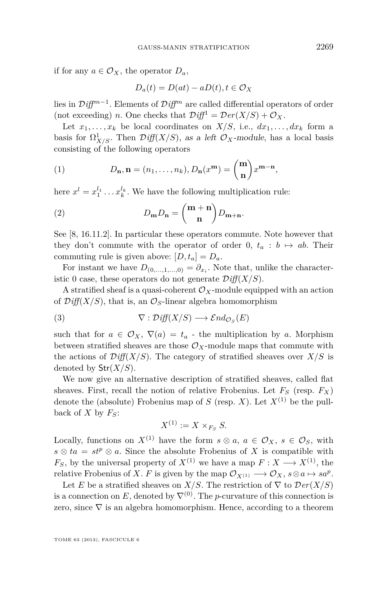if for any  $a \in \mathcal{O}_X$ , the operator  $D_a$ ,

$$
D_a(t) = D(at) - aD(t), t \in \mathcal{O}_X
$$

lies in D*iffm*−<sup>1</sup> . Elements of D*iff<sup>m</sup>* are called differential operators of order (not exceeding) *n*. One checks that  $\mathcal{D} \text{iff}^1 = \mathcal{D} \text{er}(X/S) + \mathcal{O}_X$ .

Let  $x_1, \ldots, x_k$  be local coordinates on  $X/S$ , i.e.,  $dx_1, \ldots, dx_k$  form a basis for  $\Omega^1_{X/S}$ . Then  $\mathcal{D}\text{iff}(X/S)$ , as a left  $\mathcal{O}_X$ -module, has a local basis consisting of the following operators

(1) 
$$
D_{\mathbf{n}}, \mathbf{n} = (n_1, \dots, n_k), D_{\mathbf{n}}(x^{\mathbf{m}}) = {\mathbf{m} \choose \mathbf{n}} x^{\mathbf{m} - \mathbf{n}},
$$

here  $x^l = x_1^{l_1} \dots x_k^{l_k}$ . We have the following multiplication rule:

(2) 
$$
D_{\mathbf{m}}D_{\mathbf{n}} = \binom{\mathbf{m} + \mathbf{n}}{\mathbf{n}} D_{\mathbf{m} + \mathbf{n}}.
$$

See [8, 16.11.2]. In particular these operators commute. Note however that they don't commute with the operator of order 0,  $t_a : b \mapsto ab$ . Their commuting rule is given above:  $[D, t_a] = D_a$ .

For instant we have  $D_{(0,\ldots,1,\ldots,0)} = \partial_{x_i}$ . Note that, unlike the characteristic 0 case, these operators do not generate  $\mathcal{D}iff(X/S)$ .

A stratified sheaf is a quasi-coherent  $\mathcal{O}_X$ -module equipped with an action of  $\mathcal{D}iff(X/S)$ , that is, an  $\mathcal{O}_S$ -linear algebra homomorphism

(3) 
$$
\nabla : \mathcal{D} \text{iff}(X/S) \longrightarrow \mathcal{E} \text{nd}_{\mathcal{O}_S}(E)
$$

such that for  $a \in \mathcal{O}_X$ ,  $\nabla(a) = t_a$  - the multiplication by *a*. Morphism between stratified sheaves are those  $\mathcal{O}_X$ -module maps that commute with the actions of  $Diff(X/S)$ . The category of stratified sheaves over  $X/S$  is denoted by Str(*X/S*).

We now give an alternative description of stratified sheaves, called flat sheaves. First, recall the notion of relative Frobenius. Let  $F<sub>S</sub>$  (resp.  $F<sub>X</sub>$ ) denote the (absolute) Frobenius map of *S* (resp. *X*). Let  $X^{(1)}$  be the pullback of  $X$  by  $F_S$ :

$$
X^{(1)} := X \times_{F_S} S.
$$

Locally, functions on  $X^{(1)}$  have the form  $s \otimes a$ ,  $a \in \mathcal{O}_X$ ,  $s \in \mathcal{O}_S$ , with  $s \otimes ta = st^p \otimes a$ . Since the absolute Frobenius of *X* is compatible with *F<sub>S</sub>*, by the universal property of  $X^{(1)}$  we have a map  $F: X \longrightarrow X^{(1)}$ , the relative Frobenius of *X*. *F* is given by the map  $\mathcal{O}_{X^{(1)}} \longrightarrow \mathcal{O}_X$ ,  $s \otimes a \mapsto sa^p$ .

Let *E* be a stratified sheaves on *X/S*. The restriction of  $\nabla$  to  $\mathcal{D}er(X/S)$ is a connection on *E*, denoted by  $\nabla^{(0)}$ . The *p*-curvature of this connection is zero, since  $\nabla$  is an algebra homomorphism. Hence, according to a theorem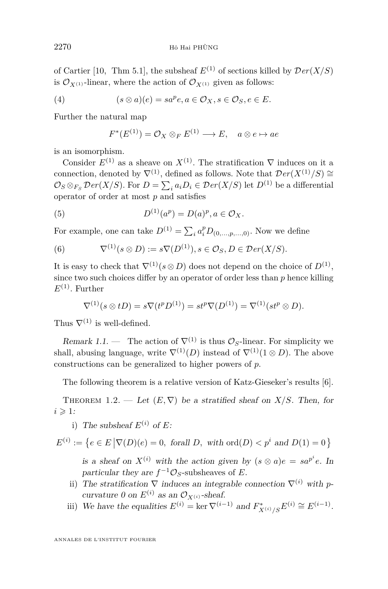of Cartier [10, Thm 5.1], the subsheaf  $E^{(1)}$  of sections killed by  $Der(X/S)$ is  $\mathcal{O}_{X^{(1)}}$ -linear, where the action of  $\mathcal{O}_{X^{(1)}}$  given as follows:

(4) 
$$
(s \otimes a)(e) = sa^p e, a \in \mathcal{O}_X, s \in \mathcal{O}_S, e \in E.
$$

Further the natural map

$$
F^*(E^{(1)}) = \mathcal{O}_X \otimes_F E^{(1)} \longrightarrow E, \quad a \otimes e \mapsto ae
$$

is an isomorphism.

Consider  $E^{(1)}$  as a sheave on  $X^{(1)}$ . The stratification  $\nabla$  induces on it a connection, denoted by  $\nabla^{(1)}$ , defined as follows. Note that  ${\mathcal Der}(X^{(1)}/S) \cong$  $\mathcal{O}_S \otimes_{F_S} \mathcal{D}er(X/S)$ . For  $D = \sum_i a_i D_i \in \mathcal{D}er(X/S)$  let  $D^{(1)}$  be a differential operator of order at most *p* and satisfies

(5) 
$$
D^{(1)}(a^p) = D(a)^p, a \in \mathcal{O}_X.
$$

For example, one can take  $D^{(1)} = \sum_i a_i^p D_{(0,\dots,p,\dots,0)}$ . Now we define

(6) 
$$
\nabla^{(1)}(s \otimes D) := s \nabla(D^{(1)}), s \in \mathcal{O}_S, D \in \mathcal{D}er(X/S).
$$

It is easy to check that  $\nabla^{(1)}(s \otimes D)$  does not depend on the choice of  $D^{(1)}$ , since two such choices differ by an operator of order less than *p* hence killing  $E^{(1)}$ . Further

$$
\nabla^{(1)}(s \otimes tD) = s \nabla(t^p D^{(1)}) = st^p \nabla(D^{(1)}) = \nabla^{(1)}(st^p \otimes D).
$$

Thus  $\nabla^{(1)}$  is well-defined.

Remark 1.1. — The action of  $\nabla^{(1)}$  is thus  $\mathcal{O}_S$ -linear. For simplicity we shall, abusing language, write  $\nabla^{(1)}(D)$  instead of  $\nabla^{(1)}(1 \otimes D)$ . The above constructions can be generalized to higher powers of *p*.

The following theorem is a relative version of Katz-Gieseker's results [6].

THEOREM 1.2. — Let  $(E, \nabla)$  be a stratified sheaf on *X/S*. Then, for  $i \geqslant 1$ :

i) The subsheaf  $E^{(i)}$  of  $E$ :

 $E^{(i)} := \{ e \in E \, | \nabla(D)(e) = 0, \text{ for all } D, \text{ with } \text{ord}(D) < p^i \text{ and } D(1) = 0 \}$ is a sheaf on  $X^{(i)}$  with the action given by  $(s \otimes a)e = sa^{p^i}e$ . In particular they are  $f^{-1}\mathcal{O}_S$ -subsheaves of *E*.

- ii) The stratification  $\nabla$  induces an integrable connection  $\nabla^{(i)}$  with *p*curvature 0 on  $E^{(i)}$  as an  $\mathcal{O}_{X^{(i)}}$ -sheaf.
- iii) We have the equalities  $E^{(i)} = \ker \nabla^{(i-1)}$  and  $F_{X^{(i)}/S}^* E^{(i)} \cong E^{(i-1)}$ .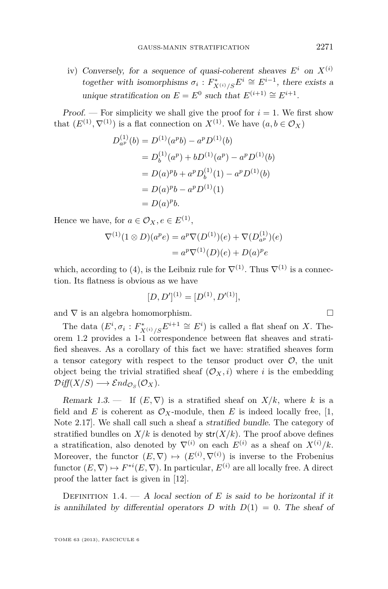iv) Conversely, for a sequence of quasi-coherent sheaves  $E^i$  on  $X^{(i)}$ together with isomorphisms  $\sigma_i: F^*_{X^{(i)}/S}E^i \cong E^{i-1}$ , there exists a unique stratification on  $E = E^0$  such that  $E^{(i+1)} \cong E^{i+1}$ .

Proof. — For simplicity we shall give the proof for  $i = 1$ . We first show that  $(E^{(1)}, \nabla^{(1)})$  is a flat connection on  $X^{(1)}$ . We have  $(a, b \in \mathcal{O}_X)$ 

$$
D_{a^p}^{(1)}(b) = D^{(1)}(a^p b) - a^p D^{(1)}(b)
$$
  
= 
$$
D_b^{(1)}(a^p) + bD^{(1)}(a^p) - a^p D^{(1)}(b)
$$
  
= 
$$
D(a)^p b + a^p D_b^{(1)}(1) - a^p D^{(1)}(b)
$$
  
= 
$$
D(a)^p b - a^p D^{(1)}(1)
$$
  
= 
$$
D(a)^p b.
$$

Hence we have, for  $a \in \mathcal{O}_X, e \in E^{(1)}$ ,

$$
\nabla^{(1)}(1 \otimes D)(a^p e) = a^p \nabla(D^{(1)})(e) + \nabla(D_{a^p}^{(1)})(e)
$$
  
=  $a^p \nabla^{(1)}(D)(e) + D(a)^p e$ 

which, according to (4), is the Leibniz rule for  $\nabla^{(1)}$ . Thus  $\nabla^{(1)}$  is a connection. Its flatness is obvious as we have

$$
[D, D']^{(1)} = [D^{(1)}, D'^{(1)}],
$$

and  $\nabla$  is an algebra homomorphism.  $\hfill \Box$ 

The data  $(E^i, \sigma_i : F^*_{X^{(i)}/S}E^{i+1} \cong E^i)$  is called a flat sheaf on *X*. Theorem 1.2 provides a 1-1 correspondence between flat sheaves and stratified sheaves. As a corollary of this fact we have: stratified sheaves form a tensor category with respect to the tensor product over  $\mathcal{O}$ , the unit object being the trivial stratified sheaf  $(\mathcal{O}_X, i)$  where *i* is the embedding  $Diff(X/S) \longrightarrow \mathcal{E}nd_{\mathcal{O}_S}(\mathcal{O}_X).$ 

Remark 1.3.  $\qquad$  If  $(E, \nabla)$  is a stratified sheaf on  $X/k$ , where k is a field and *E* is coherent as  $\mathcal{O}_X$ -module, then *E* is indeed locally free, [1, Note 2.17]. We shall call such a sheaf a stratified bundle. The category of stratified bundles on  $X/k$  is denoted by  $str(X/k)$ . The proof above defines a stratification, also denoted by  $\nabla^{(i)}$  on each  $E^{(i)}$  as a sheaf on  $X^{(i)}/k$ . Moreover, the functor  $(E, \nabla) \mapsto (E^{(i)}, \nabla^{(i)})$  is inverse to the Frobenius functor  $(E, \nabla) \mapsto F^{*i}(E, \nabla)$ . In particular,  $E^{(i)}$  are all locally free. A direct proof the latter fact is given in [12].

DEFINITION 1.4.  $- A$  local section of *E* is said to be horizontal if it is annihilated by differential operators  $D$  with  $D(1) = 0$ . The sheaf of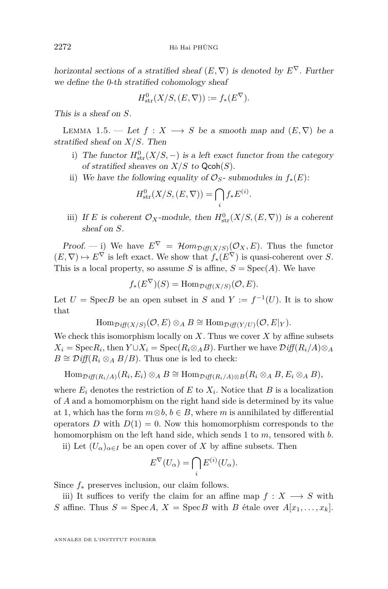horizontal sections of a stratified sheaf  $(E, \nabla)$  is denoted by  $E^{\nabla}$ . Further we define the 0-th stratified cohomology sheaf

$$
H^0_{\text{str}}(X/S, (E, \nabla)) := f_*(E^{\nabla}).
$$

This is a sheaf on *S*.

LEMMA 1.5. — Let  $f: X \longrightarrow S$  be a smooth map and  $(E, \nabla)$  be a stratified sheaf on *X/S*. Then

i) The functor  $H^0_{str}(X/S, -)$  is a left exact functor from the category of stratified sheaves on  $X/S$  to  $Qcoh(S)$ .

*.*

ii) We have the following equality of  $\mathcal{O}_S$ - submodules in  $f_*(E)$ :

$$
H^0_{\text{str}}(X/S, (E, \nabla)) = \bigcap_i f_* E^{(i)}
$$

iii) If *E* is coherent  $\mathcal{O}_X$ -module, then  $H^0_{str}(X/S,(E,\nabla))$  is a coherent sheaf on *S*.

Proof. — i) We have  $E^{\nabla} = \mathcal{H}om_{\mathcal{D}iff(X/S)}(\mathcal{O}_X, E)$ . Thus the functor  $(E, \nabla) \mapsto E^{\nabla}$  is left exact. We show that  $f_*(E^{\nabla})$  is quasi-coherent over *S*. This is a local property, so assume *S* is affine,  $S = \text{Spec}(A)$ . We have

$$
f_*(E^{\nabla})(S) = \text{Hom}_{\mathcal{D}iff(X/S)}(\mathcal{O}, E).
$$

Let  $U = \text{Spec } B$  be an open subset in  $S$  and  $Y := f^{-1}(U)$ . It is to show that

 $\text{Hom}_{\mathcal{D}iff(X/S)}(\mathcal{O}, E) \otimes_A B \cong \text{Hom}_{\mathcal{D}iff(Y/U)}(\mathcal{O}, E|_{Y}).$ 

We check this isomorphism locally on *X*. Thus we cover *X* by affine subsets  $X_i = \text{Spec} R_i$ , then  $Y \cup X_i = \text{Spec}(R_i \otimes_A B)$ . Further we have  $\mathcal{Diff}(R_i/A) \otimes_A B$  $B \cong \mathcal{D} \text{iff}(R_i \otimes_A B/B)$ . Thus one is led to check:

 $\text{Hom}_{\mathcal{D}iff}(R_i/A)(R_i, E_i) \otimes_A B \cong \text{Hom}_{\mathcal{D}iff}(R_i/A) \otimes B(R_i \otimes_A B, E_i \otimes_A B),$ 

where  $E_i$  denotes the restriction of  $E$  to  $X_i$ . Notice that  $B$  is a localization of *A* and a homomorphism on the right hand side is determined by its value at 1, which has the form  $m \otimes b$ ,  $b \in B$ , where *m* is annihilated by differential operators *D* with  $D(1) = 0$ . Now this homomorphism corresponds to the homomorphism on the left hand side, which sends 1 to *m*, tensored with *b*.

ii) Let  $(U_\alpha)_{\alpha \in I}$  be an open cover of X by affine subsets. Then

$$
E^{\nabla}(U_{\alpha}) = \bigcap_{i} E^{(i)}(U_{\alpha}).
$$

Since *f*<sup>∗</sup> preserves inclusion, our claim follows.

iii) It suffices to verify the claim for an affine map  $f: X \longrightarrow S$  with *S* affine. Thus  $S = \text{Spec } A$ ,  $X = \text{Spec } B$  with *B* étale over  $A[x_1, \ldots, x_k]$ .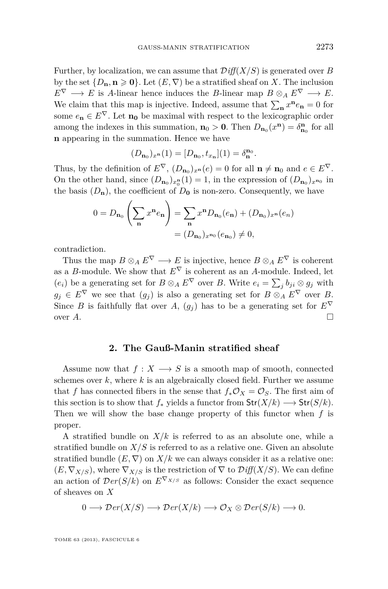Further, by localization, we can assume that D*iff*(*X/S*) is generated over *B* by the set  $\{D_{\mathbf{n}}, \mathbf{n} \geq 0\}$ . Let  $(E, \nabla)$  be a stratified sheaf on *X*. The inclusion  $E^{\nabla} \longrightarrow E$  is *A*-linear hence induces the *B*-linear map  $B \otimes_A E^{\nabla} \longrightarrow E$ . We claim that this map is injective. Indeed, assume that  $\sum_{\mathbf{n}} x^n e_{\mathbf{n}} = 0$  for some  $e_{n} \in E^{\nabla}$ . Let  $n_0$  be maximal with respect to the lexicographic order among the indexes in this summation,  $n_0 > 0$ . Then  $D_{n_0}(x^n) = \delta_{n_0}^n$  for all **n** appearing in the summation. Hence we have

$$
(D_{n_0})_{x^n}(1) = [D_{n_0}, t_{x_n}](1) = \delta_{n_0}^{n_0}.
$$

Thus, by the definition of  $E^{\nabla}$ ,  $(D_{\mathbf{n}_0})_{x^{\mathbf{n}}}(e) = 0$  for all  $\mathbf{n} \neq \mathbf{n}_0$  and  $e \in E^{\nabla}$ . On the other hand, since  $(D_{n_0})_{x_0}^{n}(1) = 1$ , in the expression of  $(D_{n_0})_{x^{n_0}}$  in the basis  $(D_n)$ , the coefficient of  $D_0$  is non-zero. Consequently, we have

$$
0 = D_{n_0} \left( \sum_{n} x^{n} e_n \right) = \sum_{n} x^{n} D_{n_0}(e_n) + (D_{n_0})_{x^{n}}(e_n)
$$

$$
= (D_{n_0})_{x^{n_0}}(e_{n_0}) \neq 0,
$$

contradiction.

Thus the map  $B \otimes_A E^{\nabla} \longrightarrow E$  is injective, hence  $B \otimes_A E^{\nabla}$  is coherent as a *B*-module. We show that  $E^{\nabla}$  is coherent as an *A*-module. Indeed, let  $(e_i)$  be a generating set for  $B \otimes_A E^{\nabla}$  over *B*. Write  $e_i = \sum_j b_{ji} \otimes g_j$  with  $g_j \in E^{\nabla}$  we see that  $(g_j)$  is also a generating set for  $B \otimes_A E^{\nabla}$  over *B*. Since *B* is faithfully flat over *A*,  $(g_i)$  has to be a generating set for  $E^{\nabla}$ over  $A$ .

#### **2. The Gauß-Manin stratified sheaf**

Assume now that  $f: X \longrightarrow S$  is a smooth map of smooth, connected schemes over *k*, where *k* is an algebraically closed field. Further we assume that *f* has connected fibers in the sense that  $f_*\mathcal{O}_X = \mathcal{O}_S$ . The first aim of this section is to show that  $f_*$  yields a functor from  $\text{Str}(X/k) \longrightarrow \text{Str}(S/k)$ . Then we will show the base change property of this functor when *f* is proper.

A stratified bundle on  $X/k$  is referred to as an absolute one, while a stratified bundle on  $X/S$  is referred to as a relative one. Given an absolute stratified bundle  $(E, \nabla)$  on  $X/k$  we can always consider it as a relative one:  $(E, \nabla_{X/S})$ , where  $\nabla_{X/S}$  is the restriction of  $\nabla$  to  $\mathcal{D} \text{iff}(X/S)$ . We can define an action of  $Der(S/k)$  on  $E^{\nabla_{X/S}}$  as follows: Consider the exact sequence of sheaves on *X*

$$
0 \longrightarrow \mathcal{D}er(X/S) \longrightarrow \mathcal{D}er(X/k) \longrightarrow \mathcal{O}_X \otimes \mathcal{D}er(S/k) \longrightarrow 0.
$$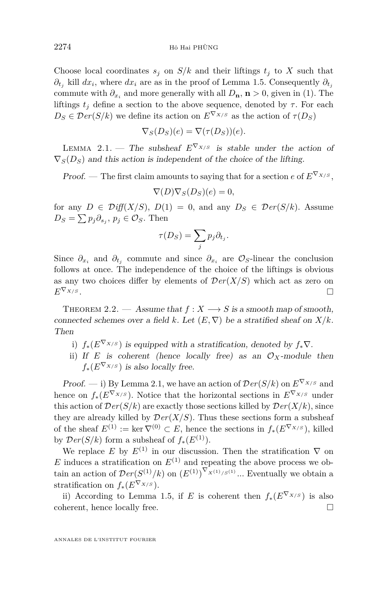Choose local coordinates  $s_j$  on  $S/k$  and their liftings  $t_j$  to X such that  $\partial_{t_j}$  kill  $dx_i$ , where  $dx_i$  are as in the proof of Lemma 1.5. Consequently  $\partial_{t_j}$ commute with  $\partial_{x_i}$  and more generally with all  $D_{\mathbf{n}}$ ,  $\mathbf{n} > 0$ , given in (1). The liftings  $t_i$  define a section to the above sequence, denoted by  $\tau$ . For each  $D_S \in \mathcal{D}er(S/k)$  we define its action on  $E^{\nabla_{X/S}}$  as the action of  $\tau(D_S)$ 

$$
\nabla_S(D_S)(e) = \nabla(\tau(D_S))(e).
$$

LEMMA 2.1. — The subsheaf  $E^{\nabla_{X/S}}$  is stable under the action of  $\nabla_S(D_S)$  and this action is independent of the choice of the lifting.

*Proof.* — The first claim amounts to saying that for a section  $e$  of  $E^{\nabla_{X/S}}$ .

$$
\nabla(D)\nabla_S(D_S)(e) = 0,
$$

for any  $D \in \mathcal{Diff}(X/S)$ ,  $D(1) = 0$ , and any  $D_S \in \mathcal{D}er(S/k)$ . Assume  $D_S = \sum p_j \partial_{s_j}, p_j \in \mathcal{O}_S$ . Then

$$
\tau(D_S) = \sum_j p_j \partial_{t_j}.
$$

Since  $\partial_{x_i}$  and  $\partial_{t_j}$  commute and since  $\partial_{x_i}$  are  $\mathcal{O}_S$ -linear the conclusion follows at once. The independence of the choice of the liftings is obvious as any two choices differ by elements of  $Der(X/S)$  which act as zero on  $E^{\nabla_{X/S}}$ .

THEOREM 2.2. — Assume that  $f: X \longrightarrow S$  is a smooth map of smooth, connected schemes over a field *k*. Let  $(E, \nabla)$  be a stratified sheaf on  $X/k$ . Then

- i)  $f_*(E^{\nabla_{X/S}})$  is equipped with a stratification, denoted by  $f_*\nabla$ .
- ii) If *E* is coherent (hence locally free) as an  $\mathcal{O}_X$ -module then  $f_*(E^{\nabla_{X/S}})$  is also locally free.

Proof. — i) By Lemma 2.1, we have an action of  $Der(S/k)$  on  $E^{\nabla_{X/S}}$  and hence on  $f_*(E^{\nabla_{X/S}})$ . Notice that the horizontal sections in  $E^{\nabla_{X/S}}$  under this action of  $Der(S/k)$  are exactly those sections killed by  $Der(X/k)$ , since they are already killed by  $Der(X/S)$ . Thus these sections form a subsheaf of the sheaf  $E^{(1)} := \ker \nabla^{(0)} \subset E$ , hence the sections in  $f_*(E^{\nabla_{X/S}})$ , killed by  $Der(S/k)$  form a subsheaf of  $f_*(E^{(1)})$ .

We replace *E* by  $E^{(1)}$  in our discussion. Then the stratification  $\nabla$  on *E* induces a stratification on  $E^{(1)}$  and repeating the above process we obtain an action of  $Der(S^{(1)}/k)$  on  $(E^{(1)})^{\nabla_{X^{(1)}/S^{(1)}}}$ ... Eventually we obtain a stratification on  $f_*(E^{\nabla_{X/S}})$ .

ii) According to Lemma 1.5, if *E* is coherent then  $f_*(E^{\nabla_{X/S}})$  is also coherent, hence locally free.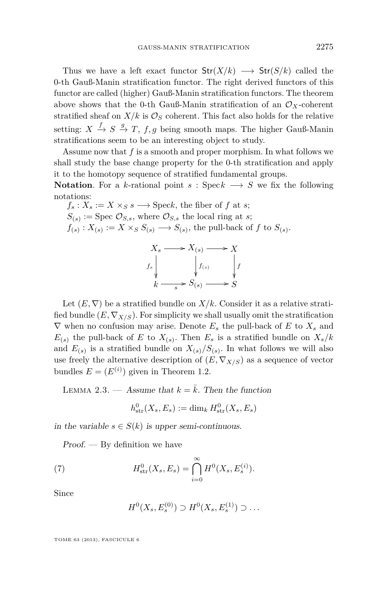Thus we have a left exact functor  $\text{Str}(X/k) \longrightarrow \text{Str}(S/k)$  called the 0-th Gauß-Manin stratification functor. The right derived functors of this functor are called (higher) Gauß-Manin stratification functors. The theorem above shows that the 0-th Gauß-Manin stratification of an  $\mathcal{O}_X$ -coherent stratified sheaf on  $X/k$  is  $\mathcal{O}_S$  coherent. This fact also holds for the relative setting:  $X \stackrel{f}{\to} S \stackrel{g}{\to} T$ ,  $f, g$  being smooth maps. The higher Gauß-Manin stratifications seem to be an interesting object to study.

Assume now that *f* is a smooth and proper morphism. In what follows we shall study the base change property for the 0-th stratification and apply it to the homotopy sequence of stratified fundamental groups.

**Notation**. For a *k*-rational point  $s : \text{Spec } k \longrightarrow S$  we fix the following notations:

 $f_s: X_s := X \times_S s \longrightarrow \text{Spec} k$ , the fiber of *f* at *s*;  $S_{(s)} := \text{Spec } \mathcal{O}_{S,s}$ , where  $\mathcal{O}_{S,s}$  the local ring at *s*;  $f(s): X(s) := X \times_S S(s) \longrightarrow S(s)$ , the pull-back of *f* to  $S(s)$ .



Let  $(E, \nabla)$  be a stratified bundle on  $X/k$ . Consider it as a relative stratified bundle  $(E, \nabla_{X/S})$ . For simplicity we shall usually omit the stratification  $\nabla$  when no confusion may arise. Denote  $E_s$  the pull-back of  $E$  to  $X_s$  and  $E_{(s)}$  the pull-back of *E* to  $X_{(s)}$ . Then  $E_s$  is a stratified bundle on  $X_s/k$ and  $E_{(s)}$  is a stratified bundle on  $X_{(s)}/S_{(s)}$ . In what follows we will also use freely the alternative description of  $(E, \nabla_{X/S})$  as a sequence of vector bundles  $E = (E^{(i)})$  given in Theorem 1.2.

LEMMA 2.3. — Assume that  $k = \overline{k}$ . Then the function

$$
h_{\text{str}}^0(X_s, E_s) := \dim_k H_{\text{str}}^0(X_s, E_s)
$$

in the variable  $s \in S(k)$  is upper semi-continuous.

 $Proof.$  — By definition we have

(7) 
$$
H_{\text{str}}^{0}(X_{s}, E_{s}) = \bigcap_{i=0}^{\infty} H^{0}(X_{s}, E_{s}^{(i)}).
$$

Since

$$
H^0(X_s, E_s^{(0)}) \supset H^0(X_s, E_s^{(1)}) \supset \dots
$$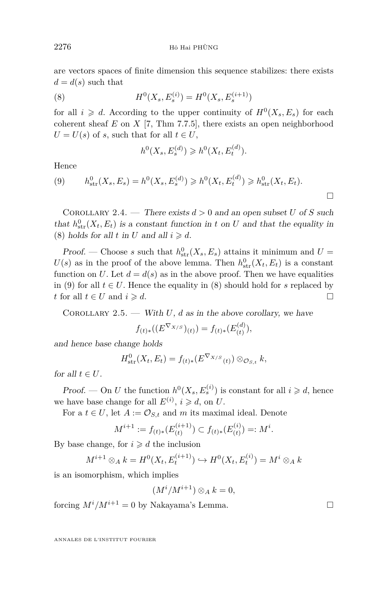are vectors spaces of finite dimension this sequence stabilizes: there exists  $d = d(s)$  such that

(8) 
$$
H^{0}(X_{s}, E_{s}^{(i)}) = H^{0}(X_{s}, E_{s}^{(i+1)})
$$

for all  $i \geq d$ . According to the upper continuity of  $H^0(X_s, E_s)$  for each coherent sheaf *E* on *X* [7, Thm 7.7.5], there exists an open neighborhood  $U = U(s)$  of *s*, such that for all  $t \in U$ ,

$$
h^0(X_s, E_s^{(d)}) \geq h^0(X_t, E_t^{(d)}).
$$

Hence

(9) 
$$
h_{\text{str}}^0(X_s, E_s) = h^0(X_s, E_s^{(d)}) \geq h^0(X_t, E_t^{(d)}) \geq h_{\text{str}}^0(X_t, E_t).
$$

COROLLARY 2.4. — There exists  $d > 0$  and an open subset *U* of *S* such that  $h_{str}^{0}(X_t, E_t)$  is a constant function in *t* on *U* and that the equality in (8) holds for all *t* in *U* and all  $i \ge d$ .

Proof. — Choose *s* such that  $h^0_{\text{str}}(X_s, E_s)$  attains it minimum and  $U =$  $U(s)$  as in the proof of the above lemma. Then  $h_{\text{str}}^0(X_t, E_t)$  is a constant function on *U*. Let  $d = d(s)$  as in the above proof. Then we have equalities in (9) for all  $t \in U$ . Hence the equality in (8) should hold for *s* replaced by *t* for all  $t \in U$  and  $i \ge d$ .

COROLLARY 2.5. — With *U*, *d* as in the above corollary, we have

$$
f_{(t)*}((E^{\nabla_{X/S}})_{(t)}) = f_{(t)*}(E_{(t)}^{(d)}),
$$

and hence base change holds

$$
H^0_{\text{str}}(X_t, E_t) = f_{(t)*}(E^{\nabla_{X/S}}_{(t)}) \otimes_{\mathcal{O}_{S,t}} k,
$$

for all  $t \in U$ .

Proof. — On *U* the function  $h^0(X_s, E_s^{(i)})$  is constant for all  $i \geq d$ , hence we have base change for all  $E^{(i)}$ ,  $i \ge d$ , on *U*.

For a  $t \in U$ , let  $A := \mathcal{O}_{S,t}$  and  $m$  its maximal ideal. Denote

$$
M^{i+1} := f_{(t)*}(E_{(t)}^{(i+1)}) \subset f_{(t)*}(E_{(t)}^{(i)}) =: M^i.
$$

By base change, for  $i \geq d$  the inclusion

$$
M^{i+1} \otimes_A k = H^0(X_t, E_t^{(i+1)}) \hookrightarrow H^0(X_t, E_t^{(i)}) = M^i \otimes_A k
$$

is an isomorphism, which implies

$$
(M^i/M^{i+1})\otimes_A k=0,
$$

forcing  $M^{i}/M^{i+1} = 0$  by Nakayama's Lemma.

ANNALES DE L'INSTITUT FOURIER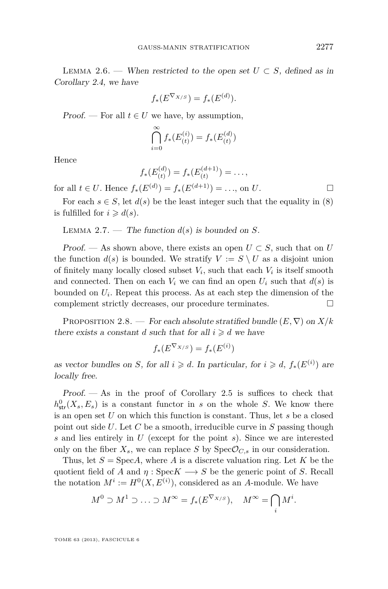$$
f_*(E^{\nabla_{X/S}}) = f_*(E^{(d)}).
$$

Proof. — For all  $t \in U$  we have, by assumption,

$$
\bigcap_{i=0}^{\infty} f_*(E_{(t)}^{(i)}) = f_*(E_{(t)}^{(d)})
$$

Hence

$$
f_*(E_{(t)}^{(d)}) = f_*(E_{(t)}^{(d+1)}) = \dots,
$$

for all *t* ∈ *U*. Hence  $f_*(E^{(d)}) = f_*(E^{(d+1)}) = \ldots$ , on *U*. □

For each  $s \in S$ , let  $d(s)$  be the least integer such that the equality in (8) is fulfilled for  $i \geq d(s)$ .

LEMMA 2.7. — The function  $d(s)$  is bounded on *S*.

Proof. — As shown above, there exists an open  $U \subset S$ , such that on *U* the function  $d(s)$  is bounded. We stratify  $V := S \setminus U$  as a disjoint union of finitely many locally closed subset  $V_i$ , such that each  $V_i$  is itself smooth and connected. Then on each  $V_i$  we can find an open  $U_i$  such that  $d(s)$  is bounded on *U<sup>i</sup>* . Repeat this process. As at each step the dimension of the complement strictly decreases, our procedure terminates.  $\Box$ 

PROPOSITION 2.8. — For each absolute stratified bundle  $(E, \nabla)$  on  $X/k$ there exists a constant *d* such that for all  $i \geq d$  we have

$$
f_*(E^{\nabla_{X/S}}) = f_*(E^{(i)})
$$

as vector bundles on *S*, for all  $i \ge d$ . In particular, for  $i \ge d$ ,  $f_*(E^{(i)})$  are locally free.

 $Proof.$  — As in the proof of Corollary 2.5 is suffices to check that  $h_{\text{str}}^{0}(X_{s}, E_{s})$  is a constant functor in *s* on the whole *S*. We know there is an open set *U* on which this function is constant. Thus, let *s* be a closed point out side *U*. Let *C* be a smooth, irreducible curve in *S* passing though *s* and lies entirely in *U* (except for the point *s*). Since we are interested only on the fiber  $X_s$ , we can replace *S* by  $Spec \mathcal{O}_{C,s}$  in our consideration.

Thus, let  $S = \text{Spec} A$ , where *A* is a discrete valuation ring. Let *K* be the quotient field of *A* and  $\eta$  : Spec*K*  $\longrightarrow$  *S* be the generic point of *S*. Recall the notation  $M^i := H^0(X, E^{(i)})$ , considered as an *A*-module. We have

$$
M^0 \supset M^1 \supset \ldots \supset M^{\infty} = f_*(E^{\nabla_{X/S}}), \quad M^{\infty} = \bigcap_i M^i.
$$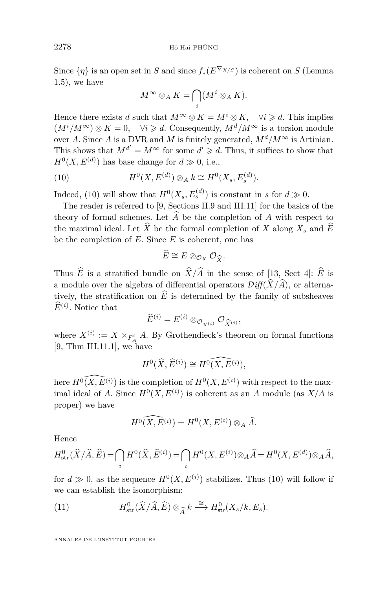Since  $\{\eta\}$  is an open set in *S* and since  $f_*(E^{\nabla_{X/S}})$  is coherent on *S* (Lemma 1.5), we have

$$
M^{\infty} \otimes_A K = \bigcap_i (M^i \otimes_A K).
$$

Hence there exists *d* such that  $M^{\infty} \otimes K = M^i \otimes K$ ,  $\forall i \geq d$ . This implies  $(M^{i}/M^{\infty}) \otimes K = 0$ ,  $\forall i \geq d$ . Consequently,  $M^{d}/M^{\infty}$  is a torsion module over *A*. Since *A* is a DVR and *M* is finitely generated,  $M^d / M^{\infty}$  is Artinian. This shows that  $M^{d'} = M^{\infty}$  for some  $d' \geq d$ . Thus, it suffices to show that  $H^0(X, E^{(d)})$  has base change for  $d \gg 0$ , i.e.,

(10) 
$$
H^{0}(X, E^{(d)}) \otimes_{A} k \cong H^{0}(X_{s}, E^{(d)}_{s}).
$$

Indeed, (10) will show that  $H^0(X_s, E_s^{(d)})$  is constant in *s* for  $d \gg 0$ .

The reader is referred to [9, Sections II.9 and III.11] for the basics of the theory of formal schemes. Let  $\widehat{A}$  be the completion of  $A$  with respect to the maximal ideal. Let  $\widehat{X}$  be the formal completion of *X* along  $X_s$  and  $\widehat{E}$ be the completion of *E*. Since *E* is coherent, one has

$$
\widehat{E} \cong E \otimes_{\mathcal{O}_X} \mathcal{O}_{\widehat{X}}.
$$

Thus *E* is a stratified bundle on  $X/A$  in the sense of [13, Sect 4]: *E* is a module over the algebra of differential operators  $Diff(\hat{X}/\hat{A})$ , or alternatively, the stratification on  $\widehat{E}$  is determined by the family of subsheaves  $\widehat{E}^{(i)}$ . Notice that

$$
\widehat{E}^{(i)} = E^{(i)} \otimes_{\mathcal{O}_{X^{(i)}}} \mathcal{O}_{\widehat{X}^{(i)}},
$$

 $\widehat{E}^{(i)} = E^{(i)} \otimes_{\mathcal{O}_{X^{(i)}}} \mathcal{O}_{\widehat{X}^{(i)}},$ <br>where  $X^{(i)} := X \times_{F_A^i} A$ . By Grothendieck's theorem on formal functions [9, Thm III.11.1], we have

$$
H^0(\widehat{X}, \widehat{E}^{(i)}) \cong \widehat{H^0(X, E^{(i)})},
$$

here  $\widehat{H^0(X, E^{(i)})}$  is the completion of  $H^0(X, E^{(i)})$  with respect to the maximal ideal of *A*. Since  $H^0(X, E^{(i)})$  is coherent as an *A* module (as  $X/A$  is proper) we have

$$
H^0(\widehat{X,E^{(i)}}) = H^0(X,E^{(i)}) \otimes_A \widehat{A}.
$$

Hence

$$
H^0_{\rm str}(\widehat X/\widehat A,\widehat E)=\bigcap_i H^0(\widehat X,\widehat E^{(i)})=\bigcap_i H^0(X,E^{(i)})\otimes_A\widehat A=H^0(X,E^{(d)})\otimes_A\widehat A,
$$

for  $d \gg 0$ , as the sequence  $H^0(X, E^{(i)})$  stabilizes. Thus (10) will follow if we can establish the isomorphism:

(11) 
$$
H^0_{\text{str}}(\widehat{X}/\widehat{A},\widehat{E}) \otimes_{\widehat{A}} k \stackrel{\cong}{\longrightarrow} H^0_{\text{str}}(X_s/k,E_s).
$$

ANNALES DE L'INSTITUT FOURIER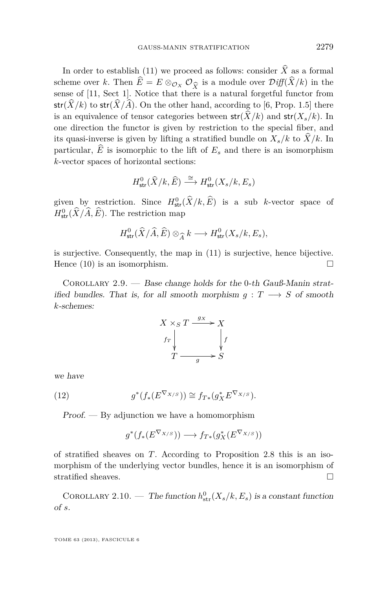In order to establish (11) we proceed as follows: consider  $\hat{X}$  as a formal scheme over *k*. Then  $E = E \otimes_{\mathcal{O}_X} \mathcal{O}_{\widehat{X}}$  is a module over  $\mathcal{D}iff(X/k)$  in the sense of [11, Sect 1]. Notice that there is a natural forgetful functor from sense of [11, Sect 1]. Notice that there is a natural forgetful functor from  $str(\hat{X}/k)$  to  $str(\hat{X}/\hat{A})$ . On the other hand, according to [6, Prop. 1.5] there is an equivalence of tensor categories between  $str(\hat{X}/k)$  and  $str(X_s/k)$ . In one direction the functor is given by restriction to the special fiber, and its quasi-inverse is given by lifting a stratified bundle on  $X_s/k$  to  $\hat{X}/k$ . In particular,  $\widehat{E}$  is isomorphic to the lift of  $E_s$  and there is an isomorphism *k*-vector spaces of horizontal sections:

$$
H^0_{\text{str}}(\widehat{X}/k, \widehat{E}) \stackrel{\cong}{\longrightarrow} H^0_{\text{str}}(X_s/k, E_s)
$$

given by restriction. Since  $H^0_{\text{str}}(\hat{X}/k, \hat{E})$  is a sub *k*-vector space of  $H^0_{\text{str}}(\tilde{X}/\tilde{A}, \tilde{E})$ . The restriction map

$$
H^0_{\text{str}}(\widehat{X}/\widehat{A},\widehat{E}) \otimes_{\widehat{A}} k \longrightarrow H^0_{\text{str}}(X_s/k, E_s),
$$

is surjective. Consequently, the map in (11) is surjective, hence bijective. Hence  $(10)$  is an isomorphism.

COROLLARY 2.9. — Base change holds for the 0-th Gauß-Manin stratified bundles. That is, for all smooth morphism  $q: T \longrightarrow S$  of smooth *k*-schemes:

$$
X \times_S T \xrightarrow{g_X} X
$$
  

$$
f_T \downarrow \qquad \qquad \downarrow f
$$
  

$$
T \xrightarrow{g} S
$$

we have

(12) 
$$
g^*(f_*(E^{\nabla_{X/S}})) \cong f_{T*}(g_X^* E^{\nabla_{X/S}}).
$$

 $Proof.$  — By adjunction we have a homomorphism

$$
g^*(f_*(E^{\nabla_{X/S}})) \longrightarrow f_{T*}(g_X^*(E^{\nabla_{X/S}}))
$$

of stratified sheaves on *T*. According to Proposition 2.8 this is an isomorphism of the underlying vector bundles, hence it is an isomorphism of stratified sheaves.  $\hfill \square$ 

COROLLARY 2.10. — The function  $h_{str}^0(X_s/k, E_s)$  is a constant function of *s*.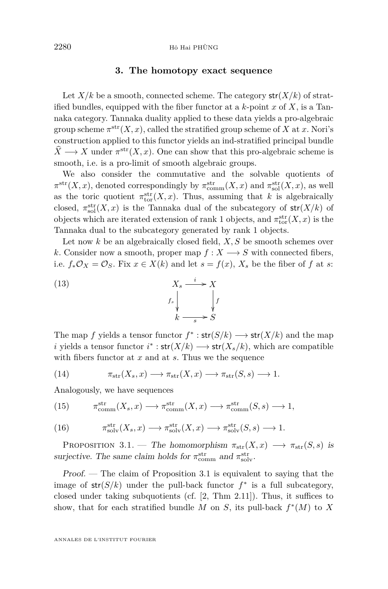#### **3. The homotopy exact sequence**

Let  $X/k$  be a smooth, connected scheme. The category  $str(X/k)$  of stratified bundles, equipped with the fiber functor at a *k*-point *x* of *X*, is a Tannaka category. Tannaka duality applied to these data yields a pro-algebraic group scheme  $\pi^{\text{str}}(X, x)$ , called the stratified group scheme of *X* at *x*. Nori's construction applied to this functor yields an ind-stratified principal bundle  $\hat{X} \longrightarrow X$  under  $\pi^{\text{str}}(X, x)$ . One can show that this pro-algebraic scheme is smooth, i.e. is a pro-limit of smooth algebraic groups.

We also consider the commutative and the solvable quotients of  $\pi^{\text{str}}(X, x)$ , denoted correspondingly by  $\pi^{\text{str}}_{\text{comm}}(X, x)$  and  $\pi^{\text{str}}_{\text{sol}}(X, x)$ , as well as the toric quotient  $\pi_{\text{tor}}^{\text{str}}(X, x)$ . Thus, assuming that *k* is algebraically closed,  $\pi_{\text{sol}}^{\text{str}}(X,x)$  is the Tannaka dual of the subcategory of  $\text{str}(X/k)$  of objects which are iterated extension of rank 1 objects, and  $\pi_{\text{tor}}^{\text{str}}(X, x)$  is the Tannaka dual to the subcategory generated by rank 1 objects.

Let now *k* be an algebraically closed field, *X, S* be smooth schemes over *k*. Consider now a smooth, proper map  $f: X \longrightarrow S$  with connected fibers, i.e.  $f_*\mathcal{O}_X = \mathcal{O}_S$ . Fix  $x \in X(k)$  and let  $s = f(x)$ ,  $X_s$  be the fiber of  $f$  at  $s$ :



The map *f* yields a tensor functor  $f^*$ :  $str(S/k) \longrightarrow str(X/k)$  and the map *i* yields a tensor functor  $i^*$ :  $\mathsf{str}(X/k) \longrightarrow \mathsf{str}(X_s/k)$ , which are compatible with fibers functor at *x* and at *s*. Thus we the sequence

(14) 
$$
\pi_{\text{str}}(X_s, x) \longrightarrow \pi_{\text{str}}(X, x) \longrightarrow \pi_{\text{str}}(S, s) \longrightarrow 1.
$$

Analogously, we have sequences

(15) 
$$
\pi_{\text{comm}}^{\text{str}}(X_s, x) \longrightarrow \pi_{\text{comm}}^{\text{str}}(X, x) \longrightarrow \pi_{\text{comm}}^{\text{str}}(S, s) \longrightarrow 1,
$$

(16) 
$$
\pi_{\text{solv}}^{\text{str}}(X_s, x) \longrightarrow \pi_{\text{solv}}^{\text{str}}(X, x) \longrightarrow \pi_{\text{solv}}^{\text{str}}(S, s) \longrightarrow 1.
$$

PROPOSITION 3.1. — The homomorphism  $\pi_{str}(X,x) \longrightarrow \pi_{str}(S,s)$  is surjective. The same claim holds for  $\pi_{\text{comm}}^{\text{str}}$  and  $\pi_{\text{solv}}^{\text{str}}$ .

Proof. — The claim of Proposition 3.1 is equivalent to saying that the image of  $str(S/k)$  under the pull-back functor  $f^*$  is a full subcategory, closed under taking subquotients (cf. [2, Thm 2.11]). Thus, it suffices to show, that for each stratified bundle  $M$  on  $S$ , its pull-back  $f^*(M)$  to  $X$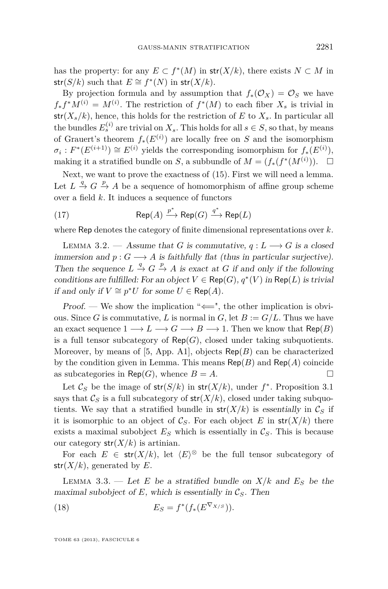has the property: for any  $E \subset f^*(M)$  in  $str(X/k)$ , there exists  $N \subset M$  in  $str(S/k)$  such that  $E \cong f^*(N)$  in  $str(X/k)$ .

By projection formula and by assumption that  $f_*(\mathcal{O}_X) = \mathcal{O}_S$  we have  $f_* f^* M^{(i)} = M^{(i)}$ . The restriction of  $f^*(M)$  to each fiber  $X_s$  is trivial in  $str(X_s/k)$ , hence, this holds for the restriction of *E* to  $X_s$ . In particular all the bundles  $E_s^{(i)}$  are trivial on  $X_s$ . This holds for all  $s \in S$ , so that, by means of Grauert's theorem *f*∗(*E*(*i*) ) are locally free on *S* and the isomorphism  $\sigma_i$  :  $F^*(E^{(i+1)}) \cong E^{(i)}$  yields the corresponding isomorphism for  $f_*(E^{(i)})$ , making it a stratified bundle on *S*, a subbundle of  $M = (f_*(f^*(M^{(i)}))$ .  $\Box$ 

Next, we want to prove the exactness of (15). First we will need a lemma. Let  $L \stackrel{q}{\to} G \stackrel{p}{\to} A$  be a sequence of homomorphism of affine group scheme over a field *k*. It induces a sequence of functors

(17) 
$$
\mathsf{Rep}(A) \xrightarrow{p^*} \mathsf{Rep}(G) \xrightarrow{q^*} \mathsf{Rep}(L)
$$

where Rep denotes the category of finite dimensional representations over *k*.

LEMMA 3.2. — Assume that *G* is commutative,  $q: L \longrightarrow G$  is a closed immersion and  $p: G \longrightarrow A$  is faithfully flat (thus in particular surjective). Then the sequence  $L \stackrel{q}{\to} G \stackrel{p}{\to} A$  is exact at *G* if and only if the following conditions are fulfilled: For an object  $V \in \mathsf{Rep}(G)$ ,  $q^*(V)$  in  $\mathsf{Rep}(L)$  is trivial *if and only if*  $V \cong p^*U$  for some  $U \in \mathsf{Rep}(A)$ .

Proof. — We show the implication " $\Longleftarrow$ ", the other implication is obvious. Since *G* is commutative, *L* is normal in *G*, let  $B := G/L$ . Thus we have an exact sequence  $1 \longrightarrow L \longrightarrow G \longrightarrow B \longrightarrow 1$ . Then we know that  $\mathsf{Rep}(B)$ is a full tensor subcategory of  $\mathsf{Rep}(G)$ , closed under taking subquotients. Moreover, by means of [5, App. A1], objects  $\mathsf{Rep}(B)$  can be characterized by the condition given in Lemma. This means Rep(*B*) and Rep(*A*) coincide as subcategories in Rep(*G*), whence  $B = A$ .

Let  $\mathcal{C}_S$  be the image of  $str(S/k)$  in  $str(X/k)$ , under  $f^*$ . Proposition 3.1 says that  $\mathcal{C}_S$  is a full subcategory of  $str(X/k)$ , closed under taking subquotients. We say that a stratified bundle in  $str(X/k)$  is essentially in  $\mathcal{C}_S$  if it is isomorphic to an object of  $\mathcal{C}_S$ . For each object *E* in  $str(X/k)$  there exists a maximal subobject  $E<sub>S</sub>$  which is essentially in  $\mathcal{C}<sub>S</sub>$ . This is because our category  $str(X/k)$  is artinian.

For each  $E \in \text{str}(X/k)$ , let  $\langle E \rangle^{\otimes}$  be the full tensor subcategory of  $str(X/k)$ , generated by E.

LEMMA 3.3. — Let *E* be a stratified bundle on  $X/k$  and  $E<sub>S</sub>$  be the maximal subobject of  $E$ , which is essentially in  $\mathcal{C}_S$ . Then

(18) 
$$
E_S = f^*(f_*(E^{\nabla_{X/S}})).
$$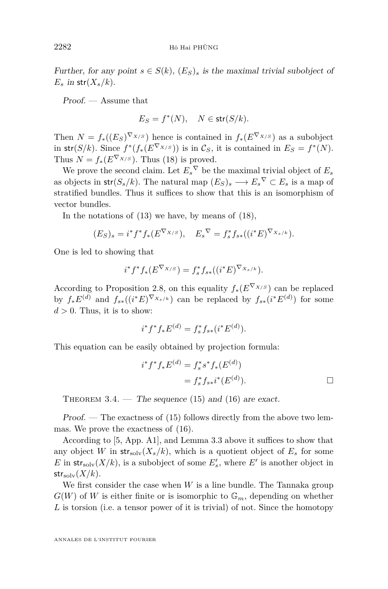Further, for any point  $s \in S(k)$ ,  $(E_S)$ <sub>s</sub> is the maximal trivial subobject of  $E_s$  in str $(X_s/k)$ .

Proof. — Assume that

 $E_S = f^*(N)$ ,  $N \in \text{str}(S/k)$ .

Then  $N = f_*(E_S)^{\nabla_{X/S}}$  hence is contained in  $f_*(E^{\nabla_{X/S}})$  as a subobject in  $\mathsf{str}(S/k)$ . Since  $f^*(f_*(E^{\nabla_{X/S}}))$  is in  $\mathcal{C}_S$ , it is contained in  $E_S = f^*(N)$ . Thus  $N = f_*(E^{\nabla_{X/S}})$ . Thus (18) is proved.

We prove the second claim. Let  $E_s^{\nabla}$  be the maximal trivial object of  $E_s$ as objects in  $str(S_s/k)$ . The natural map  $(E_S)_s \longrightarrow E_s^{\nabla} \subset E_s$  is a map of stratified bundles. Thus it suffices to show that this is an isomorphism of vector bundles.

In the notations of  $(13)$  we have, by means of  $(18)$ ,

$$
(E_S)_s = i^* f^* f_* (E^{\nabla_{X/S}}), \quad E_s^{\nabla} = f_s^* f_{s*} ((i^* E)^{\nabla_{X_s/k}}).
$$

One is led to showing that

$$
i^* f^* f_* (E^{\nabla_{X/S}}) = f_s^* f_{s*} ((i^* E)^{\nabla_{X_s/k}}).
$$

According to Proposition 2.8, on this equality  $f_*(E^{\nabla_{X/S}})$  can be replaced by  $f_*E^{(d)}$  and  $f_{s*}((i^*E)^{\nabla_{X_s/k}})$  can be replaced by  $f_{s*}(i^*E^{(d)})$  for some  $d > 0$ . Thus, it is to show:

$$
i^* f^* f_* E^{(d)} = f_s^* f_{s*} (i^* E^{(d)}).
$$

This equation can be easily obtained by projection formula:

$$
i^* f^* f_* E^{(d)} = f_s^* s^* f_*(E^{(d)})
$$
  
=  $f_s^* f_{s*} i^*(E^{(d)}).$ 

THEOREM  $3.4.$  — The sequence (15) and (16) are exact.

Proof. — The exactness of  $(15)$  follows directly from the above two lemmas. We prove the exactness of (16).

According to [5, App. A1], and Lemma 3.3 above it suffices to show that any object *W* in  $str_{solv}(X_s/k)$ , which is a quotient object of  $E_s$  for some *E* in  $str_{\text{solv}}(X/k)$ , is a subobject of some  $E'_{s}$ , where  $E'$  is another object in  $str_{\rm solv}(X/k)$ .

We first consider the case when *W* is a line bundle. The Tannaka group  $G(W)$  of W is either finite or is isomorphic to  $\mathbb{G}_m$ , depending on whether *L* is torsion (i.e. a tensor power of it is trivial) of not. Since the homotopy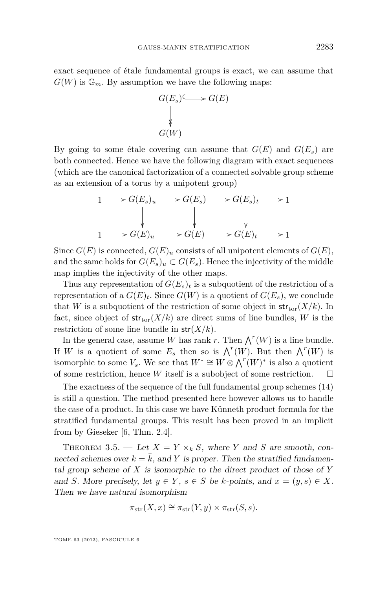exact sequence of étale fundamental groups is exact, we can assume that  $G(W)$  is  $\mathbb{G}_m$ . By assumption we have the following maps:



By going to some étale covering can assume that  $G(E)$  and  $G(E_s)$  are both connected. Hence we have the following diagram with exact sequences (which are the canonical factorization of a connected solvable group scheme as an extension of a torus by a unipotent group)

$$
1 \longrightarrow G(E_s)_u \longrightarrow G(E_s) \longrightarrow G(E_s)_t \longrightarrow 1
$$
  
\n
$$
\downarrow \qquad \qquad \downarrow \qquad \qquad \downarrow
$$
  
\n
$$
1 \longrightarrow G(E)_u \longrightarrow G(E) \longrightarrow G(E)_t \longrightarrow 1
$$

Since  $G(E)$  is connected,  $G(E)_u$  consists of all unipotent elements of  $G(E)$ , and the same holds for  $G(E_s)_u \subset G(E_s)$ . Hence the injectivity of the middle map implies the injectivity of the other maps.

Thus any representation of  $G(E_s)_t$  is a subquotient of the restriction of a representation of a  $G(E)_t$ . Since  $G(W)$  is a quotient of  $G(E_s)$ , we conclude that *W* is a subquotient of the restriction of some object in  $str_{tor}(X/k)$ . In fact, since object of  $str_{tor}(X/k)$  are direct sums of line bundles, *W* is the restriction of some line bundle in str(*X/k*).

In the general case, assume *W* has rank *r*. Then  $\bigwedge^r(W)$  is a line bundle. If *W* is a quotient of some  $E_s$  then so is  $\bigwedge^r(W)$ . But then  $\bigwedge^r(W)$  is isomorphic to some  $V_s$ . We see that  $W^* \cong W \otimes \bigwedge^r(W)^*$  is also a quotient of some restriction, hence *W* itself is a subobject of some restriction.  $\square$ 

The exactness of the sequence of the full fundamental group schemes (14) is still a question. The method presented here however allows us to handle the case of a product. In this case we have Künneth product formula for the stratified fundamental groups. This result has been proved in an implicit from by Gieseker [6, Thm. 2.4].

THEOREM 3.5. — Let  $X = Y \times_k S$ , where *Y* and *S* are smooth, connected schemes over  $k = \overline{k}$ , and *Y* is proper. Then the stratified fundamental group scheme of *X* is isomorphic to the direct product of those of *Y* and *S*. More precisely, let  $y \in Y$ ,  $s \in S$  be *k*-points, and  $x = (y, s) \in X$ . Then we have natural isomorphism

$$
\pi_{\rm str}(X,x) \cong \pi_{\rm str}(Y,y) \times \pi_{\rm str}(S,s).
$$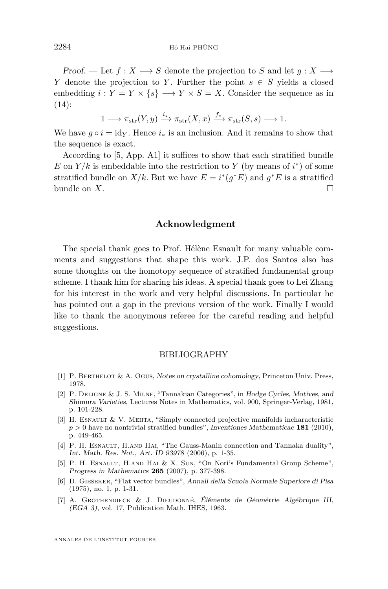Proof. — Let  $f: X \longrightarrow S$  denote the projection to *S* and let  $q: X \longrightarrow$ *Y* denote the projection to *Y*. Further the point  $s \in S$  yields a closed embedding  $i: Y = Y \times \{s\} \longrightarrow Y \times S = X$ . Consider the sequence as in  $(14)$ :

$$
1 \longrightarrow \pi_{\text{str}}(Y, y) \xrightarrow{i_*} \pi_{\text{str}}(X, x) \xrightarrow{f_*} \pi_{\text{str}}(S, s) \longrightarrow 1.
$$

We have  $g \circ i = id_{Y}$ . Hence  $i_{*}$  is an inclusion. And it remains to show that the sequence is exact.

According to [5, App. A1] it suffices to show that each stratified bundle *E* on  $Y/k$  is embeddable into the restriction to *Y* (by means of  $i^*$ ) of some stratified bundle on  $X/k$ . But we have  $E = i^*(g^*E)$  and  $g^*E$  is a stratified bundle on  $X$ .

#### **Acknowledgment**

The special thank goes to Prof. Hélène Esnault for many valuable comments and suggestions that shape this work. J.P. dos Santos also has some thoughts on the homotopy sequence of stratified fundamental group scheme. I thank him for sharing his ideas. A special thank goes to Lei Zhang for his interest in the work and very helpful discussions. In particular he has pointed out a gap in the previous version of the work. Finally I would like to thank the anonymous referee for the careful reading and helpful suggestions.

#### BIBLIOGRAPHY

- [1] P. Berthelot & A. Ogus, Notes on crystalline cohomology, Princeton Univ. Press, 1978.
- [2] P. Deligne & J. S. Milne, "Tannakian Categories", in Hodge Cycles, Motives, and Shimura Varieties, Lectures Notes in Mathematics, vol. 900, Springer-Verlag, 1981, p. 101-228.
- [3] H. ESNAULT  $&\vee$ . MEHTA, "Simply connected projective manifolds incharacteristic *p >* 0 have no nontrivial stratified bundles", Inventiones Mathematicae **181** (2010), p. 449-465.
- [4] P. H. ESNAULT, H.AND HAI, "The Gauss-Manin connection and Tannaka duality", Int. Math. Res. Not., Art. ID 93978 (2006), p. 1-35.
- [5] P. H. ESNAULT, H.AND HAI & X. SUN, "On Nori's Fundamental Group Scheme", Progress in Mathematics **265** (2007), p. 377-398.
- [6] D. Gieseker, "Flat vector bundles", Annali della Scuola Normale Superiore di Pisa (1975), no. 1, p. 1-31.
- [7] A. Grothendieck & J. Dieudonné, Éléments de Géométrie Algébrique III, (EGA 3), vol. 17, Publication Math. IHES, 1963.